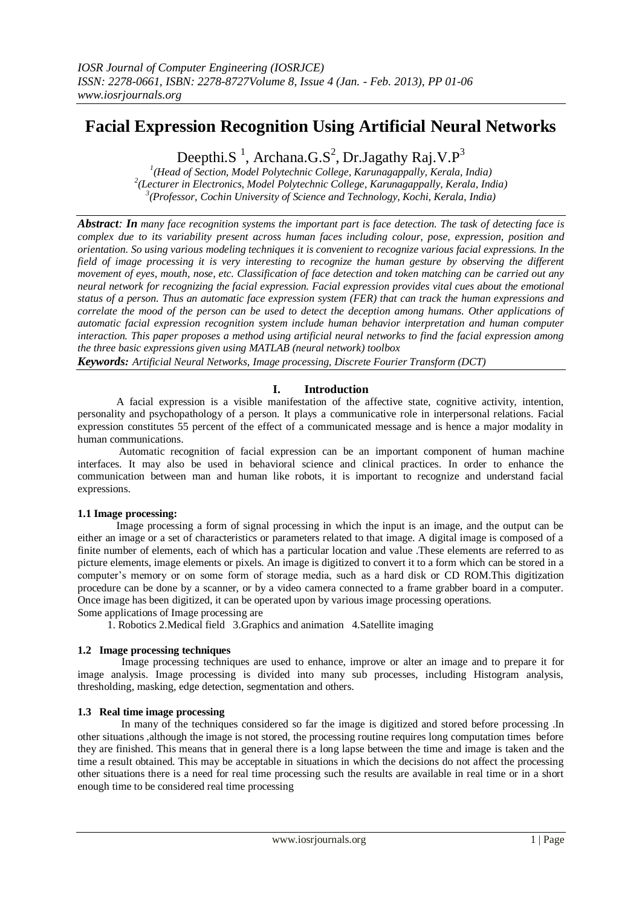# **Facial Expression Recognition Using Artificial Neural Networks**

Deepthi.S<sup>1</sup>, Archana.G.S<sup>2</sup>, Dr.Jagathy Raj.V.P<sup>3</sup>

*1 (Head of Section, Model Polytechnic College, Karunagappally, Kerala, India) 2 (Lecturer in Electronics, Model Polytechnic College, Karunagappally, Kerala, India) 3 (Professor, Cochin University of Science and Technology, Kochi, Kerala, India)*

*Abstract: In many face recognition systems the important part is face detection. The task of detecting face is complex due to its variability present across human faces including colour, pose, expression, position and orientation. So using various modeling techniques it is convenient to recognize various facial expressions. In the field of image processing it is very interesting to recognize the human gesture by observing the different movement of eyes, mouth, nose, etc. Classification of face detection and token matching can be carried out any neural network for recognizing the facial expression. Facial expression provides vital cues about the emotional status of a person. Thus an automatic face expression system (FER) that can track the human expressions and correlate the mood of the person can be used to detect the deception among humans. Other applications of automatic facial expression recognition system include human behavior interpretation and human computer interaction. This paper proposes a method using artificial neural networks to find the facial expression among the three basic expressions given using MATLAB (neural network) toolbox*

*Keywords: Artificial Neural Networks, Image processing, Discrete Fourier Transform (DCT)*

# **I. Introduction**

A facial expression is a visible manifestation of the affective state, cognitive activity, intention, personality and psychopathology of a person. It plays a communicative role in interpersonal relations. Facial expression constitutes 55 percent of the effect of a communicated message and is hence a major modality in human communications.

 Automatic recognition of facial expression can be an important component of human machine interfaces. It may also be used in behavioral science and clinical practices. In order to enhance the communication between man and human like robots, it is important to recognize and understand facial expressions.

# **1.1 Image processing:**

Image processing a form of signal processing in which the input is an image, and the output can be either an image or a set of characteristics or parameters related to that image. A digital image is composed of a finite number of elements, each of which has a particular location and value .These elements are referred to as picture elements, image elements or pixels. An image is digitized to convert it to a form which can be stored in a computer's memory or on some form of storage media, such as a hard disk or CD ROM.This digitization procedure can be done by a scanner, or by a video camera connected to a frame grabber board in a computer. Once image has been digitized, it can be operated upon by various image processing operations.

Some applications of Image processing are

1. Robotics 2.Medical field 3.Graphics and animation 4.Satellite imaging

# **1.2 Image processing techniques**

 Image processing techniques are used to enhance, improve or alter an image and to prepare it for image analysis. Image processing is divided into many sub processes, including Histogram analysis, thresholding, masking, edge detection, segmentation and others.

# **1.3 Real time image processing**

In many of the techniques considered so far the image is digitized and stored before processing .In other situations ,although the image is not stored, the processing routine requires long computation times before they are finished. This means that in general there is a long lapse between the time and image is taken and the time a result obtained. This may be acceptable in situations in which the decisions do not affect the processing other situations there is a need for real time processing such the results are available in real time or in a short enough time to be considered real time processing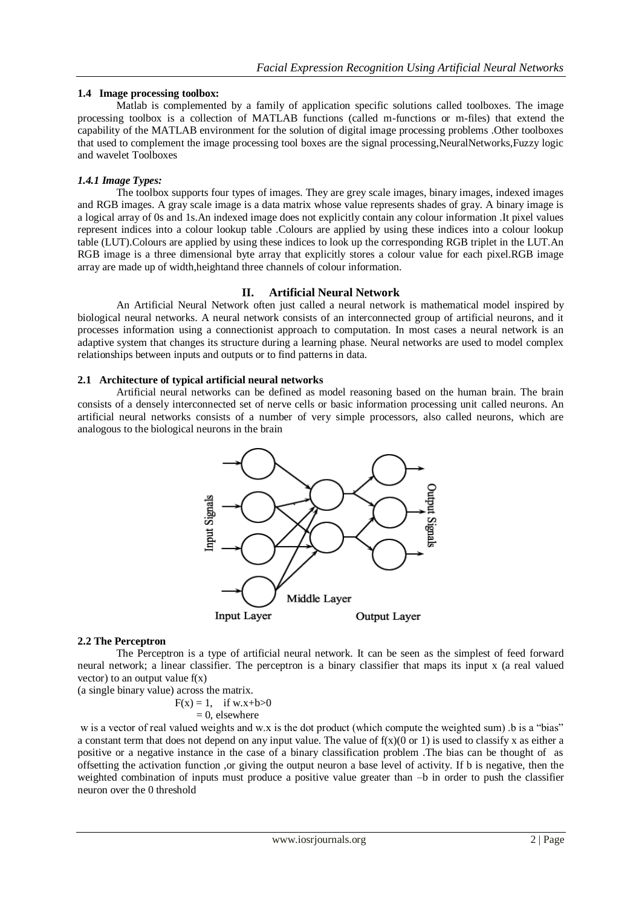# **1.4 Image processing toolbox:**

Matlab is complemented by a family of application specific solutions called toolboxes. The image processing toolbox is a collection of MATLAB functions (called m-functions or m-files) that extend the capability of the MATLAB environment for the solution of digital image processing problems .Other toolboxes that used to complement the image processing tool boxes are the signal processing,NeuralNetworks,Fuzzy logic and wavelet Toolboxes

# *1.4.1 Image Types:*

The toolbox supports four types of images. They are grey scale images, binary images, indexed images and RGB images. A gray scale image is a data matrix whose value represents shades of gray. A binary image is a logical array of 0s and 1s.An indexed image does not explicitly contain any colour information .It pixel values represent indices into a colour lookup table .Colours are applied by using these indices into a colour lookup table (LUT).Colours are applied by using these indices to look up the corresponding RGB triplet in the LUT.An RGB image is a three dimensional byte array that explicitly stores a colour value for each pixel.RGB image array are made up of width,heightand three channels of colour information.

# **II. Artificial Neural Network**

 An Artificial Neural Network often just called a neural network is mathematical model inspired by biological neural networks. A neural network consists of an interconnected group of artificial neurons, and it processes information using a connectionist approach to computation. In most cases a neural network is an adaptive system that changes its structure during a learning phase. Neural networks are used to model complex relationships between inputs and outputs or to find patterns in data.

# **2.1 Architecture of typical artificial neural networks**

Artificial neural networks can be defined as model reasoning based on the human brain. The brain consists of a densely interconnected set of nerve cells or basic information processing unit called neurons. An artificial neural networks consists of a number of very simple processors, also called neurons, which are analogous to the biological neurons in the brain



# **2.2 The Perceptron**

The Perceptron is a type of artificial neural network. It can be seen as the simplest of feed forward neural network; a linear classifier. The perceptron is a binary classifier that maps its input x (a real valued vector) to an output value  $f(x)$ 

(a single binary value) across the matrix.

 $F(x) = 1$ , if w.x+b>0

$$
= 0
$$
, elsewhere

w is a vector of real valued weights and w.x is the dot product (which compute the weighted sum) .b is a "bias" a constant term that does not depend on any input value. The value of  $f(x)(0 \text{ or } 1)$  is used to classify x as either a positive or a negative instance in the case of a binary classification problem .The bias can be thought of as offsetting the activation function ,or giving the output neuron a base level of activity. If b is negative, then the weighted combination of inputs must produce a positive value greater than –b in order to push the classifier neuron over the 0 threshold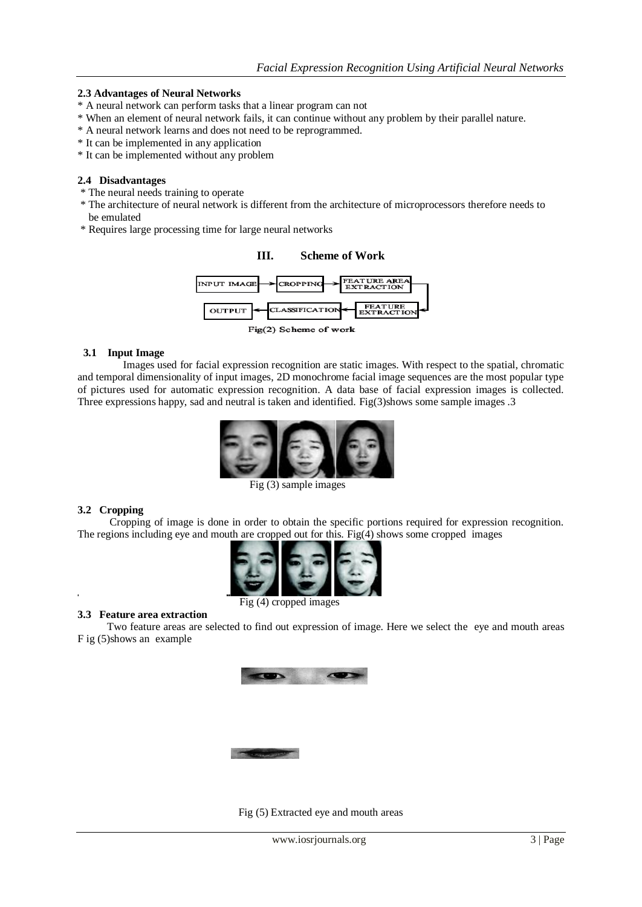### **2.3 Advantages of Neural Networks**

- \* A neural network can perform tasks that a linear program can not
- \* When an element of neural network fails, it can continue without any problem by their parallel nature.
- \* A neural network learns and does not need to be reprogrammed.
- \* It can be implemented in any application
- \* It can be implemented without any problem

### **2.4 Disadvantages**

- \* The neural needs training to operate
- \* The architecture of neural network is different from the architecture of microprocessors therefore needs to be emulated
- \* Requires large processing time for large neural networks



Fig(2) Scheme of work

### **3.1 Input Image**

 Images used for facial expression recognition are static images. With respect to the spatial, chromatic and temporal dimensionality of input images, 2D monochrome facial image sequences are the most popular type of pictures used for automatic expression recognition. A data base of facial expression images is collected. Three expressions happy, sad and neutral is taken and identified. Fig(3)shows some sample images .3



Fig (3) sample images

### **3.2 Cropping**

 Cropping of image is done in order to obtain the specific portions required for expression recognition. The regions including eye and mouth are cropped out for this. Fig(4) shows some cropped images



#### **3.3 Feature area extraction**

 Two feature areas are selected to find out expression of image. Here we select the eye and mouth areas F ig (5)shows an example



Fig (5) Extracted eye and mouth areas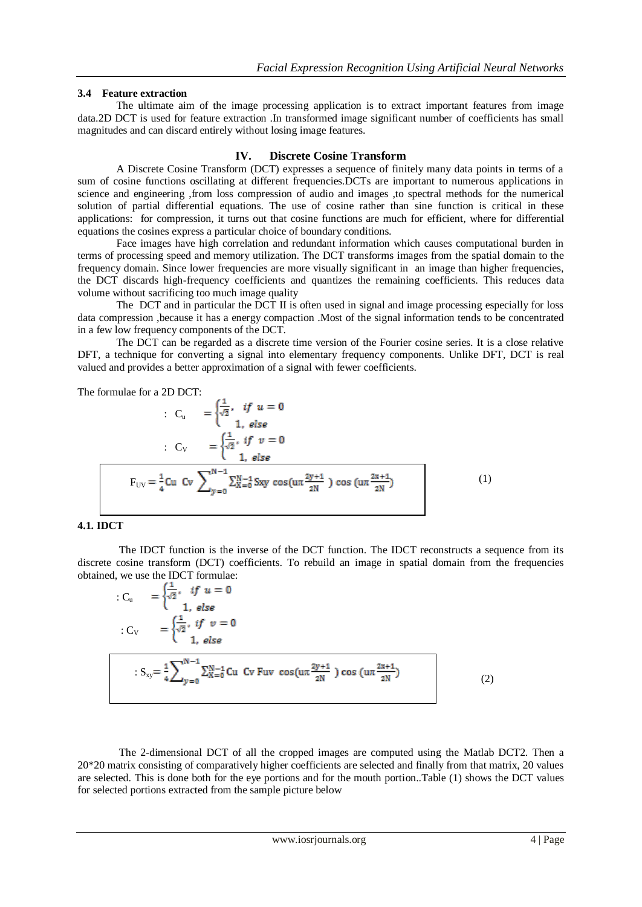### **3.4 Feature extraction**

 The ultimate aim of the image processing application is to extract important features from image data.2D DCT is used for feature extraction .In transformed image significant number of coefficients has small magnitudes and can discard entirely without losing image features.

### **IV. Discrete Cosine Transform**

A Discrete Cosine Transform (DCT) expresses a sequence of finitely many data points in terms of a sum of cosine functions oscillating at different frequencies.DCTs are important to numerous applications in science and engineering ,from loss compression of audio and images ,to spectral methods for the numerical solution of partial differential equations. The use of cosine rather than sine function is critical in these applications: for compression, it turns out that cosine functions are much for efficient, where for differential equations the cosines express a particular choice of boundary conditions.

Face images have high correlation and redundant information which causes computational burden in terms of processing speed and memory utilization. The DCT transforms images from the spatial domain to the frequency domain. Since lower frequencies are more visually significant in an image than higher frequencies, the DCT discards high-frequency coefficients and quantizes the remaining coefficients. This reduces data volume without sacrificing too much image quality

The DCT and in particular the DCT II is often used in signal and image processing especially for loss data compression ,because it has a energy compaction .Most of the signal information tends to be concentrated in a few low frequency components of the DCT.

The DCT can be regarded as a discrete time version of the Fourier cosine series. It is a close relative DFT, a technique for converting a signal into elementary frequency components. Unlike DFT, DCT is real valued and provides a better approximation of a signal with fewer coefficients.

The formulae for a 2D DCT:

$$
C_{u} = \begin{cases} \frac{1}{\sqrt{2}}, & \text{if } u = 0\\ 1, & \text{else} \end{cases}
$$
  

$$
C_{V} = \begin{cases} \frac{1}{\sqrt{2}}, & \text{if } v = 0\\ 1, & \text{else} \end{cases}
$$
  

$$
F_{UV} = \frac{1}{4} Cu \ C v \ \sum_{y=0}^{N-1} \sum_{x=0}^{N-1} \text{Sxy} \cos(u\pi \frac{2y+1}{2N}) \cos(u\pi \frac{2x+1}{2N})
$$
 (1)

### **4.1. IDCT**

 The IDCT function is the inverse of the DCT function. The IDCT reconstructs a sequence from its discrete cosine transform (DCT) coefficients. To rebuild an image in spatial domain from the frequencies obtained, we use the IDCT formulae:

$$
C_{u} = \begin{cases} \frac{1}{\sqrt{2}}, & \text{if } u = 0 \\ 1, & \text{else} \end{cases}
$$
  

$$
C_{v} = \begin{cases} \frac{1}{\sqrt{2}}, & \text{if } v = 0 \\ 1, & \text{else} \end{cases}
$$
  

$$
\therefore S_{xy} = \frac{1}{4} \sum_{y=0}^{N-1} \sum_{x=0}^{N-1} Cu \text{ Cv } Fuv \cos(ux \frac{2y+1}{2N}) \cos(ux \frac{2x+1}{2N})
$$
 (2)

The 2-dimensional DCT of all the cropped images are computed using the Matlab DCT2. Then a 20\*20 matrix consisting of comparatively higher coefficients are selected and finally from that matrix, 20 values are selected. This is done both for the eye portions and for the mouth portion..Table (1) shows the DCT values for selected portions extracted from the sample picture below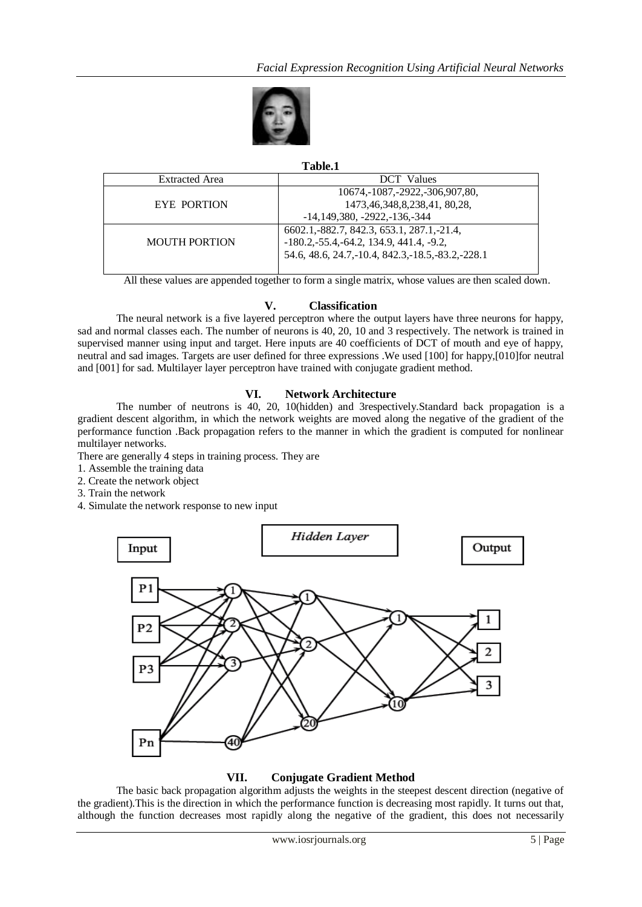

# **Table.1**

| <b>Extracted Area</b> | <b>DCT</b> Values                                                                                                                                 |
|-----------------------|---------------------------------------------------------------------------------------------------------------------------------------------------|
| EYE PORTION           | 10674, -1087, -2922, -306, 907, 80,<br>1473, 46, 348, 8, 238, 41, 80, 28,<br>$-14,149,380, -2922, -136, -344$                                     |
| <b>MOUTH PORTION</b>  | 6602.1, 882.7, 842.3, 653.1, 287.1, -21.4,<br>$-180.2, -55.4, -64.2, 134.9, 441.4, -9.2,$<br>54.6, 48.6, 24.7, -10.4, 842.3, -18.5, -83.2, -228.1 |

All these values are appended together to form a single matrix, whose values are then scaled down.

# **V. Classification**

The neural network is a five layered perceptron where the output layers have three neurons for happy, sad and normal classes each. The number of neurons is 40, 20, 10 and 3 respectively. The network is trained in supervised manner using input and target. Here inputs are 40 coefficients of DCT of mouth and eye of happy, neutral and sad images. Targets are user defined for three expressions .We used [100] for happy,[010]for neutral and [001] for sad. Multilayer layer perceptron have trained with conjugate gradient method.

# **VI. Network Architecture**

The number of neutrons is 40, 20, 10(hidden) and 3respectively.Standard back propagation is a gradient descent algorithm, in which the network weights are moved along the negative of the gradient of the performance function .Back propagation refers to the manner in which the gradient is computed for nonlinear multilayer networks.

There are generally 4 steps in training process. They are

- 1. Assemble the training data
- 2. Create the network object
- 3. Train the network
- 4. Simulate the network response to new input



# **VII. Conjugate Gradient Method**

The basic back propagation algorithm adjusts the weights in the steepest descent direction (negative of the gradient).This is the direction in which the performance function is decreasing most rapidly. It turns out that, although the function decreases most rapidly along the negative of the gradient, this does not necessarily